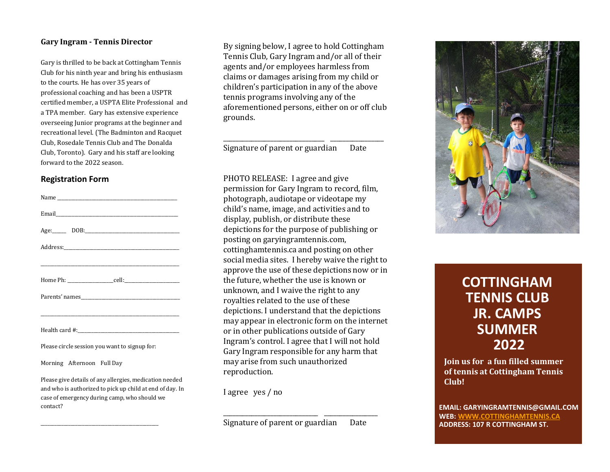#### **Gary Ingram - Tennis Director**

Gary is thrilled to be back at Cottingham Tennis Club for his ninth year and bring his enthusiasm to the courts. He has over 35 years of professional coaching and has been a USPTR certified member, a USPTA Elite Professional and a TPA member. Gary has extensive experience overseeing Junior programs at the beginner and recreational level. (The Badminton and Racquet Club, Rosedale Tennis Club and The Donalda Club, Toronto). Gary and his staff are looking forward to the 2022 season.

#### **Registration Form**

| Age: DOB: DOB: 2008                           |
|-----------------------------------------------|
|                                               |
|                                               |
|                                               |
|                                               |
|                                               |
|                                               |
| Please circle session you want to signup for: |

Morning Afternoon Full Day

Please give details of any allergies, medication needed and who is authorized to pick up child at end of day. In case of emergency during camp, who should we contact?

 $\_$ 

By signing below, I agree to hold Cottingham Tennis Club, Gary Ingram and/or all of their agents and/or employees harmless from claims or damages arising from my child or children's participation in any of the above tennis programs involving any of the aforementioned persons, either on or off club grounds.

Signature of parent or guardian Date

\_\_\_\_\_\_\_\_\_\_\_\_\_\_\_\_\_\_\_\_\_\_\_\_\_\_\_\_\_\_\_\_ \_\_\_\_\_\_\_\_\_\_\_\_\_\_\_\_\_

PHOTO RELEASE: I agree and give permission for Gary Ingram to record, film, photograph, audiotape or videotape my child's name, image, and activities and to display, publish, or distribute these depictions for the purpose of publishing or posting on garyingramtennis.com, cottinghamtennis.ca and posting on other social media sites. I hereby waive the right to approve the use of these depictions now or in the future, whether the use is known or unknown, and I waive the right to any royalties related to the use of these depictions. I understand that the depictions may appear in electronic form on the internet or in other publications outside of Gary Ingram's control. I agree that I will not hold Gary Ingram responsible for any harm that may arise from such unauthorized reproduction.

I agree yes / no

Signature of parent or guardian Date

\_\_\_\_\_\_\_\_\_\_\_\_\_\_\_\_\_\_\_\_\_\_\_\_\_\_\_\_\_\_ \_\_\_\_\_\_\_\_\_\_\_\_\_\_\_\_\_



# **COTTINGHAM TENNIS CLUB JR. CAMPS SUMMER 2022**

**Join us for a fun filled summer of tennis at Cottingham Tennis Club!**

**EMAIL: GARYINGRAMTENNIS@GMAIL.COM WEB: WWW[.COTTINGHAMTENNIS.CA](http://www.cottinghamtennis.ca/) ADDRESS: 107 R COTTINGHAM ST.**